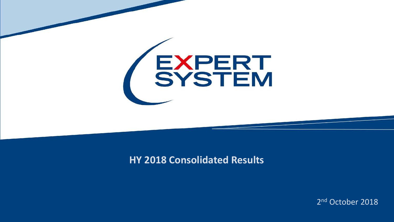

#### **HY 2018 Consolidated Results**

2<sup>nd</sup> October 2018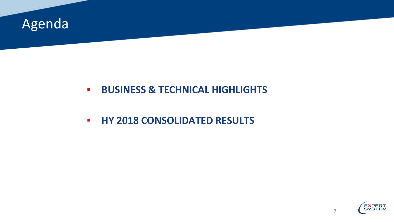

#### ▪ **BUSINESS & TECHNICAL HIGHLIGHTS**

▪ **HY 2018 CONSOLIDATED RESULTS**

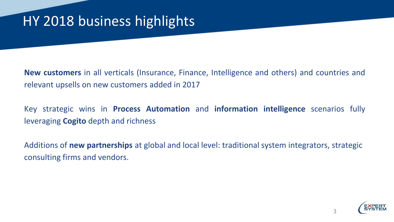**New customers** in all verticals (Insurance, Finance, Intelligence and others) and countries and relevant upsells on new customers added in 2017

Key strategic wins in **Process Automation** and **information intelligence** scenarios fully leveraging **Cogito** depth and richness

Additions of **new partnerships** at global and local level: traditional system integrators, strategic consulting firms and vendors.

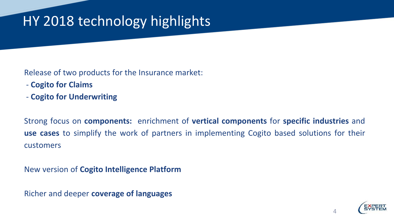Release of two products for the Insurance market:

- **Cogito for Claims**
- **Cogito for Underwriting**

Strong focus on **components:** enrichment of **vertical components** for **specific industries** and **use cases** to simplify the work of partners in implementing Cogito based solutions for their customers

New version of **Cogito Intelligence Platform**

Richer and deeper **coverage of languages**

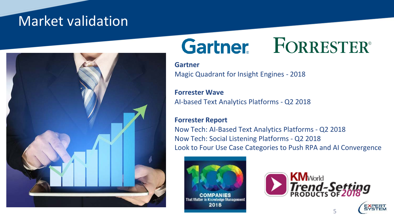#### Market validation



# **Gartner** FORRESTER®

**Gartner** Magic Quadrant for Insight Engines - 2018

**Forrester Wave** AI-based Text Analytics Platforms - Q2 2018

#### **Forrester Report**

Now Tech: AI-Based Text Analytics Platforms - Q2 2018 Now Tech: Social Listening Platforms - Q2 2018 Look to Four Use Case Categories to Push RPA and AI Convergence





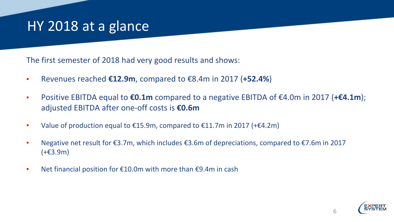#### HY 2018 at a glance

The first semester of 2018 had very good results and shows:

- Revenues reached **€12.9m**, compared to €8.4m in 2017 (**+52.4%**)
- Positive EBITDA equal to **€0.1m** compared to a negative EBITDA of €4.0m in 2017 (**+€4.1m**); adjusted EBITDA after one-off costs is **€0.6m**
- Value of production equal to  $£15.9m$ , compared to  $£11.7m$  in 2017 (+ $£4.2m$ )
- Negative net result for €3.7m, which includes €3.6m of depreciations, compared to €7.6m in 2017 (+€3.9m)
- Net financial position for €10.0m with more than €9.4m in cash

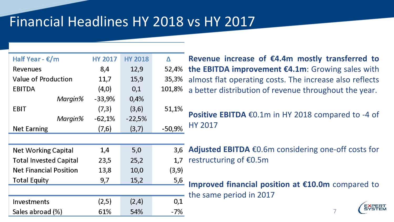### Financial Headlines HY 2018 vs HY 2017

| Half Year - €/m               | <b>HY 2017</b> | <b>HY 2018</b> | Δ        |
|-------------------------------|----------------|----------------|----------|
| <b>Revenues</b>               | 8,4            | 12,9           | 52,4%    |
| <b>Value of Production</b>    | 11,7           | 15,9           | 35,3%    |
| <b>EBITDA</b>                 | (4,0)          | 0,1            | 101,8%   |
| Margin%                       | $-33,9%$       | 0,4%           |          |
| EBIT                          | (7,3)          | (3,6)          | 51,1%    |
| Margin%                       | $-62,1%$       | $-22,5%$       |          |
| <b>Net Earning</b>            | (7,6)          | (3,7)          | $-50,9%$ |
|                               |                |                |          |
| <b>Net Working Capital</b>    | 1,4            | 5,0            | 3,6      |
| <b>Total Invested Capital</b> | 23,5           | 25,2           | 1,7      |
| <b>Net Financial Position</b> | 13,8           | 10,0           | (3, 9)   |
| <b>Total Equity</b>           | 9,7            | 15,2           | 5,6      |
|                               |                |                |          |
| Investments                   | (2,5)          | (2,4)          | 0,1      |
| Sales abroad (%)              | 61%            | 54%            | -7%      |

**Revenue increase of €4.4m mostly transferred to the EBITDA improvement €4.1m**: Growing sales with 4% almost flat operating costs. The increase also reflects 3%  $8\%$  a better distribution of revenue throughout the year. 1%

**Positive EBITDA** €0.1m in HY 2018 compared to -4 of HY 2017 9%

**Adjusted EBITDA** €0.6m considering one-off costs for 1,7 restructuring of  $€0.5m$ 

**Improved financial position at €10.0m** compared to the same period in 2017

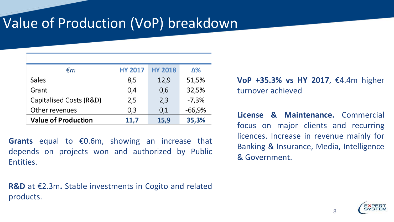### Value of Production (VoP) breakdown

| €m                         | <b>HY 2017</b> | <b>HY 2018</b> | Δ%       |
|----------------------------|----------------|----------------|----------|
| Sales                      | 8,5            | 12,9           | 51,5%    |
| Grant                      | 0,4            | 0,6            | 32,5%    |
| Capitalised Costs (R&D)    | 2,5            | 2,3            | $-7,3%$  |
| Other revenues             | 0,3            | 0,1            | $-66,9%$ |
| <b>Value of Production</b> | 11,7           | 15,9           | 35,3%    |

**Grants** equal to €0.6m, showing an increase that depends on projects won and authorized by Public Entities.

**R&D** at €2.3m**.** Stable investments in Cogito and related products.

**VoP +35.3% vs HY 2017**, €4.4m higher turnover achieved

**License & Maintenance.** Commercial focus on major clients and recurring licences. Increase in revenue mainly for Banking & Insurance, Media, Intelligence & Government.

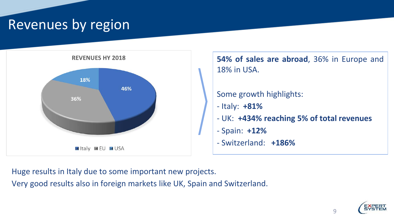#### Revenues by region





Huge results in Italy due to some important new projects.

Very good results also in foreign markets like UK, Spain and Switzerland.

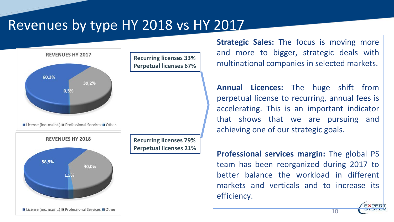#### Revenues by type HY 2018 vs HY 2017



**Strategic Sales:** The focus is moving more and more to bigger, strategic deals with multinational companies in selected markets.

**Annual Licences:** The huge shift from perpetual license to recurring, annual fees is accelerating. This is an important indicator that shows that we are pursuing and achieving one of our strategic goals.

**Professional services margin:** The global PS team has been reorganized during 2017 to better balance the workload in different markets and verticals and to increase its efficiency.

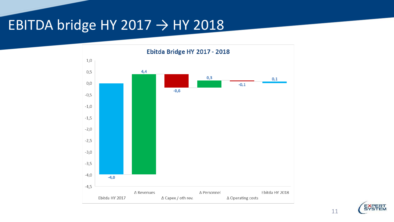#### EBITDA bridge HY 2017  $\rightarrow$  HY 2018



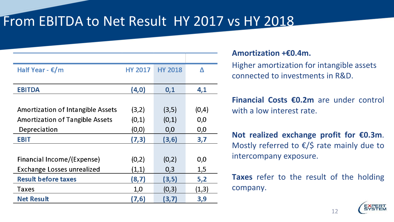#### From EBITDA to Net Result HY 2017 vs HY 2018

| Half Year - $\epsilon/m$                 | <b>HY 2017</b> | <b>HY 2018</b> | Δ     |
|------------------------------------------|----------------|----------------|-------|
|                                          |                |                |       |
| <b>EBITDA</b>                            | (4, 0)         | 0,1            | 4,1   |
|                                          |                |                |       |
| <b>Amortization of Intangible Assets</b> | (3,2)          | (3,5)          | (0,4) |
| <b>Amortization of Tangible Assets</b>   | (0,1)          | (0,1)          | 0,0   |
| Depreciation                             | (0, 0)         | 0,0            | 0,0   |
| <b>EBIT</b>                              | (7,3)          | (3, 6)         | 3,7   |
|                                          |                |                |       |
| Financial Income/(Expense)               | (0,2)          | (0,2)          | 0,0   |
| <b>Exchange Losses unrealized</b>        | (1,1)          | 0,3            | 1,5   |
| <b>Result before taxes</b>               | (8, 7)         | (3, 5)         | 5,2   |
| <b>Taxes</b>                             | 1,0            | (0,3)          | (1,3) |
| <b>Net Result</b>                        | (7, 6)         | (3,7)          | 3,9   |

#### **Amortization +€0.4m.**

Higher amortization for intangible assets connected to investments in R&D.

**Financial Costs €0.2m** are under control with a low interest rate.

**Not realized exchange profit for €0.3m**. Mostly referred to  $\epsilon$ /\$ rate mainly due to intercompany exposure.

**Taxes** refer to the result of the holding company.

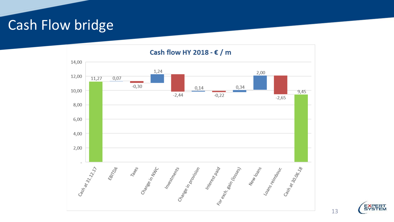#### Cash Flow bridge

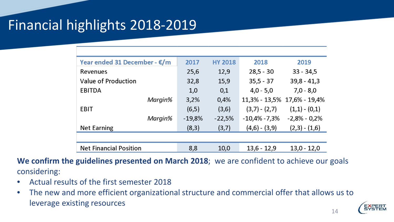### Financial highlights 2018-2019

| Year ended 31 December - €/m  | 2017     | <b>HY 2018</b> | 2018            | 2019                        |
|-------------------------------|----------|----------------|-----------------|-----------------------------|
| Revenues                      | 25,6     | 12,9           | $28,5 - 30$     | $33 - 34,5$                 |
| Value of Production           | 32,8     | 15,9           | $35,5 - 37$     | $39,8 - 41,3$               |
| <b>EBITDA</b>                 | 1,0      | 0,1            | $4,0 - 5,0$     | $7,0 - 8,0$                 |
| Margin%                       | 3,2%     | 0,4%           |                 | 11,3% - 13,5% 17,6% - 19,4% |
| <b>EBIT</b>                   | (6,5)    | (3,6)          | $(3,7) - (2,7)$ | $(1,1) - (0,1)$             |
| Margin%                       | $-19,8%$ | $-22,5%$       | $-10,4% -7,3%$  | $-2,8% - 0,2%$              |
| <b>Net Earning</b>            | (8,3)    | (3,7)          | $(4,6) - (3,9)$ | $(2,3) - (1,6)$             |
|                               |          |                |                 |                             |
| <b>Net Financial Position</b> | 8,8      | 10,0           | $13,6 - 12,9$   | $13,0 - 12,0$               |

**We confirm the guidelines presented on March 2018**; we are confident to achieve our goals considering:

- Actual results of the first semester 2018
- The new and more efficient organizational structure and commercial offer that allows us to leverage existing resources

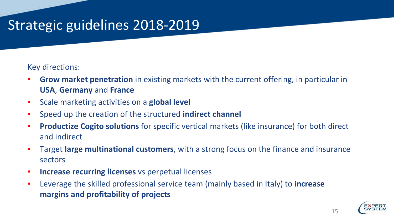### Strategic guidelines 2018-2019

#### Key directions:

- **Grow market penetration** in existing markets with the current offering, in particular in **USA**, **Germany** and **France**
- Scale marketing activities on a **global level**
- Speed up the creation of the structured **indirect channel**
- **Productize Cogito solutions** for specific vertical markets (like insurance) for both direct and indirect
- Target **large multinational customers**, with a strong focus on the finance and insurance sectors
- **EXPLO Increase recurring licenses** vs perpetual licenses
- Leverage the skilled professional service team (mainly based in Italy) to **increase margins and profitability of projects**

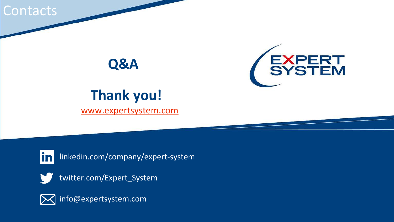**Contacts** 

### **Q&A**



## **Thank you!**

[www.expertsystem.com](http://www.expertsystem.com/)



linkedin.com/company/expert-system



twitter.com/Expert\_System



info@expertsystem.com